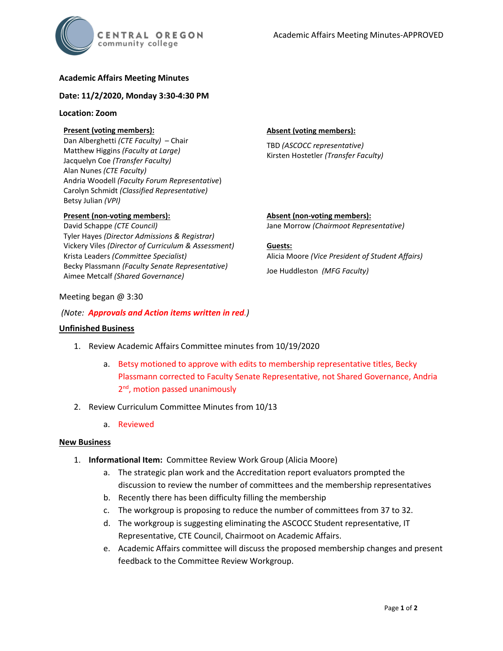

# **Academic Affairs Meeting Minutes**

### **Date: 11/2/2020, Monday 3:30-4:30 PM**

#### **Location: Zoom**

## **Present (voting members):**

Dan Alberghetti *(CTE Faculty)* – Chair Matthew Higgins *(Faculty at Large)* Jacquelyn Coe *(Transfer Faculty)*  Alan Nunes *(CTE Faculty)* Andria Woodell *(Faculty Forum Representative*) Carolyn Schmidt *(Classified Representative)* Betsy Julian *(VPI)*

## **Present (non-voting members):**

David Schappe *(CTE Council)* Tyler Hayes *(Director Admissions & Registrar)* Vickery Viles *(Director of Curriculum & Assessment)* Krista Leaders *(Committee Specialist)* Becky Plassmann *(Faculty Senate Representative)* Aimee Metcalf *(Shared Governance)*

### **Absent (voting members):**

TBD *(ASCOCC representative)* Kirsten Hostetler *(Transfer Faculty)*

**Absent (non-voting members):** Jane Morrow *(Chairmoot Representative)*

**Guests:** Alicia Moore *(Vice President of Student Affairs)* Joe Huddleston *(MFG Faculty)*

#### Meeting began @ 3:30

#### *(Note: Approvals and Action items written in red.)*

#### **Unfinished Business**

- 1. Review Academic Affairs Committee minutes from 10/19/2020
	- a. Betsy motioned to approve with edits to membership representative titles, Becky Plassmann corrected to Faculty Senate Representative, not Shared Governance, Andria 2<sup>nd</sup>, motion passed unanimously
- 2. Review Curriculum Committee Minutes from 10/13
	- a. Reviewed

## **New Business**

- 1. **Informational Item:** Committee Review Work Group (Alicia Moore)
	- a. The strategic plan work and the Accreditation report evaluators prompted the discussion to review the number of committees and the membership representatives
	- b. Recently there has been difficulty filling the membership
	- c. The workgroup is proposing to reduce the number of committees from 37 to 32.
	- d. The workgroup is suggesting eliminating the ASCOCC Student representative, IT Representative, CTE Council, Chairmoot on Academic Affairs.
	- e. Academic Affairs committee will discuss the proposed membership changes and present feedback to the Committee Review Workgroup.